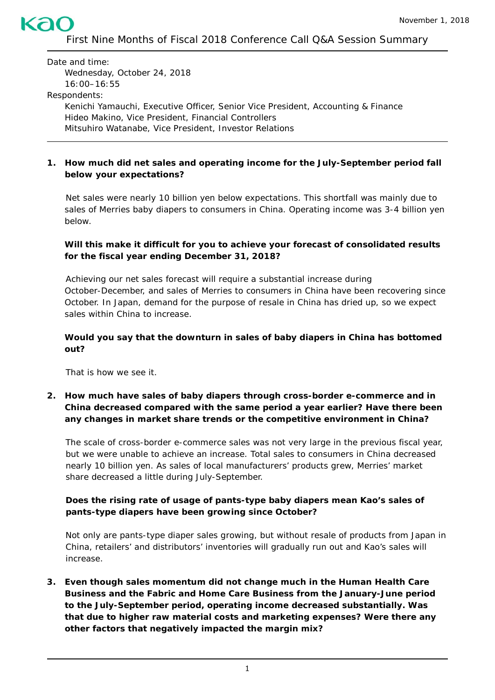First Nine Months of Fiscal 2018 Conference Call Q&A Session Summary

Date and time: Wednesday, October 24, 2018 16:00–16:55 Respondents: Kenichi Yamauchi, Executive Officer, Senior Vice President, Accounting & Finance Hideo Makino, Vice President, Financial Controllers Mitsuhiro Watanabe, Vice President, Investor Relations

## **1. How much did net sales and operating income for the July-September period fall below your expectations?**

Net sales were nearly 10 billion yen below expectations. This shortfall was mainly due to sales of *Merries* baby diapers to consumers in China. Operating income was 3-4 billion yen below.

### **Will this make it difficult for you to achieve your forecast of consolidated results for the fiscal year ending December 31, 2018?**

Achieving our net sales forecast will require a substantial increase during October-December, and sales of *Merries* to consumers in China have been recovering since October. In Japan, demand for the purpose of resale in China has dried up, so we expect sales within China to increase.

### **Would you say that the downturn in sales of baby diapers in China has bottomed out?**

That is how we see it.

### **2. How much have sales of baby diapers through cross-border e-commerce and in China decreased compared with the same period a year earlier? Have there been any changes in market share trends or the competitive environment in China?**

The scale of cross-border e-commerce sales was not very large in the previous fiscal year, but we were unable to achieve an increase. Total sales to consumers in China decreased nearly 10 billion yen. As sales of local manufacturers' products grew, *Merries'* market share decreased a little during July-September.

### **Does the rising rate of usage of pants-type baby diapers mean Kao's sales of pants-type diapers have been growing since October?**

Not only are pants-type diaper sales growing, but without resale of products from Japan in China, retailers' and distributors' inventories will gradually run out and Kao's sales will increase.

**3. Even though sales momentum did not change much in the Human Health Care Business and the Fabric and Home Care Business from the January-June period to the July-September period, operating income decreased substantially. Was that due to higher raw material costs and marketing expenses? Were there any other factors that negatively impacted the margin mix?**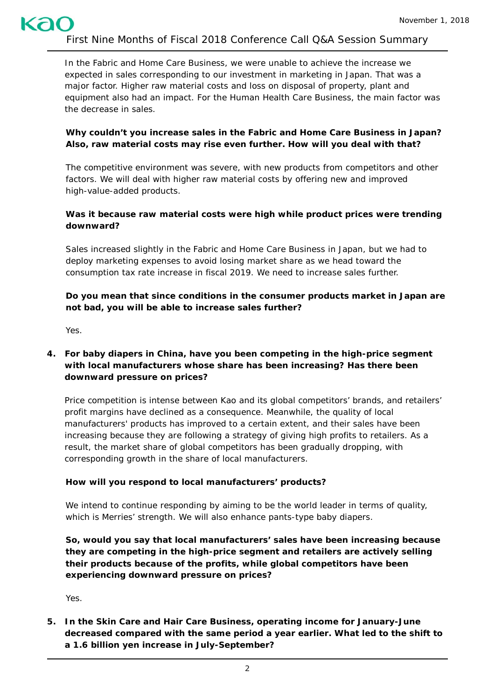First Nine Months of Fiscal 2018 Conference Call Q&A Session Summary

In the Fabric and Home Care Business, we were unable to achieve the increase we expected in sales corresponding to our investment in marketing in Japan. That was a major factor. Higher raw material costs and loss on disposal of property, plant and equipment also had an impact. For the Human Health Care Business, the main factor was the decrease in sales.

### **Why couldn't you increase sales in the Fabric and Home Care Business in Japan? Also, raw material costs may rise even further. How will you deal with that?**

The competitive environment was severe, with new products from competitors and other factors. We will deal with higher raw material costs by offering new and improved high-value-added products.

### **Was it because raw material costs were high while product prices were trending downward?**

Sales increased slightly in the Fabric and Home Care Business in Japan, but we had to deploy marketing expenses to avoid losing market share as we head toward the consumption tax rate increase in fiscal 2019. We need to increase sales further.

## **Do you mean that since conditions in the consumer products market in Japan are not bad, you will be able to increase sales further?**

Yes.

### **4. For baby diapers in China, have you been competing in the high-price segment with local manufacturers whose share has been increasing? Has there been downward pressure on prices?**

Price competition is intense between Kao and its global competitors' brands, and retailers' profit margins have declined as a consequence. Meanwhile, the quality of local manufacturers' products has improved to a certain extent, and their sales have been increasing because they are following a strategy of giving high profits to retailers. As a result, the market share of global competitors has been gradually dropping, with corresponding growth in the share of local manufacturers.

### **How will you respond to local manufacturers' products?**

We intend to continue responding by aiming to be the world leader in terms of quality. which is *Merries'* strength. We will also enhance pants-type baby diapers.

**So, would you say that local manufacturers' sales have been increasing because they are competing in the high-price segment and retailers are actively selling their products because of the profits, while global competitors have been experiencing downward pressure on prices?**

Yes.

**5. In the Skin Care and Hair Care Business, operating income for January-June decreased compared with the same period a year earlier. What led to the shift to a 1.6 billion yen increase in July-September?**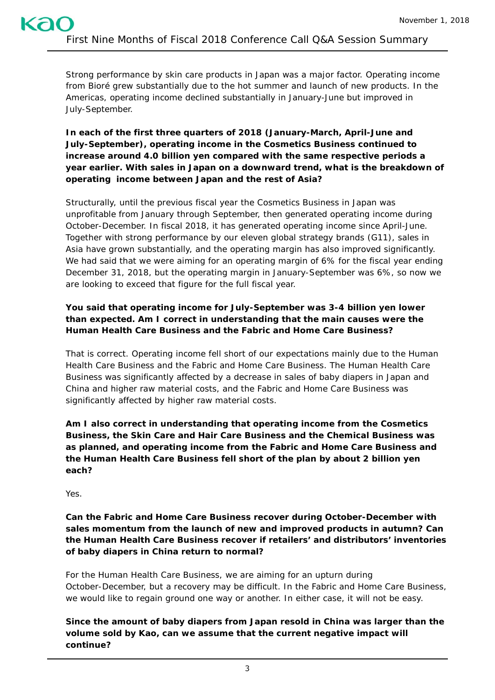Strong performance by skin care products in Japan was a major factor. Operating income from *Bioré* grew substantially due to the hot summer and launch of new products. In the Americas, operating income declined substantially in January-June but improved in July-September.

# **In each of the first three quarters of 2018 (January-March, April-June and July-September), operating income in the Cosmetics Business continued to increase around 4.0 billion yen compared with the same respective periods a year earlier. With sales in Japan on a downward trend, what is the breakdown of operating income between Japan and the rest of Asia?**

Structurally, until the previous fiscal year the Cosmetics Business in Japan was unprofitable from January through September, then generated operating income during October-December. In fiscal 2018, it has generated operating income since April-June. Together with strong performance by our eleven global strategy brands (G11), sales in Asia have grown substantially, and the operating margin has also improved significantly. We had said that we were aiming for an operating margin of 6% for the fiscal year ending December 31, 2018, but the operating margin in January-September was 6%, so now we are looking to exceed that figure for the full fiscal year.

# **You said that operating income for July-September was 3-4 billion yen lower than expected. Am I correct in understanding that the main causes were the Human Health Care Business and the Fabric and Home Care Business?**

That is correct. Operating income fell short of our expectations mainly due to the Human Health Care Business and the Fabric and Home Care Business. The Human Health Care Business was significantly affected by a decrease in sales of baby diapers in Japan and China and higher raw material costs, and the Fabric and Home Care Business was significantly affected by higher raw material costs.

**Am I also correct in understanding that operating income from the Cosmetics Business, the Skin Care and Hair Care Business and the Chemical Business was as planned, and operating income from the Fabric and Home Care Business and the Human Health Care Business fell short of the plan by about 2 billion yen each?**

Yes.

# **Can the Fabric and Home Care Business recover during October-December with sales momentum from the launch of new and improved products in autumn? Can the Human Health Care Business recover if retailers' and distributors' inventories of baby diapers in China return to normal?**

For the Human Health Care Business, we are aiming for an upturn during October-December, but a recovery may be difficult. In the Fabric and Home Care Business, we would like to regain ground one way or another. In either case, it will not be easy.

**Since the amount of baby diapers from Japan resold in China was larger than the volume sold by Kao, can we assume that the current negative impact will continue?**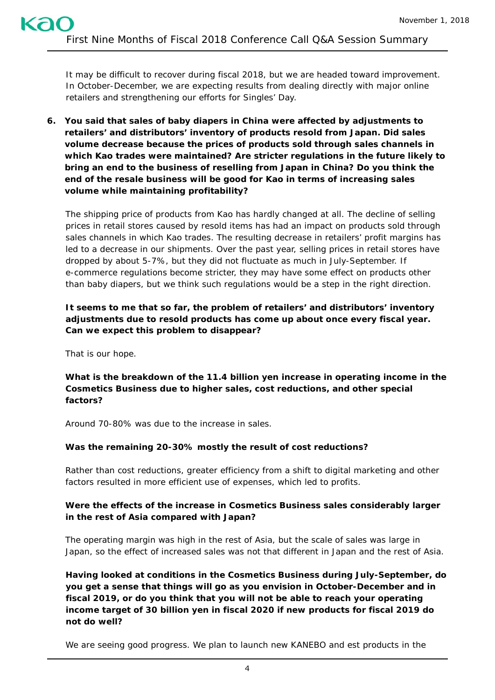It may be difficult to recover during fiscal 2018, but we are headed toward improvement. In October-December, we are expecting results from dealing directly with major online retailers and strengthening our efforts for Singles' Day.

**6. You said that sales of baby diapers in China were affected by adjustments to retailers' and distributors' inventory of products resold from Japan. Did sales volume decrease because the prices of products sold through sales channels in which Kao trades were maintained? Are stricter regulations in the future likely to bring an end to the business of reselling from Japan in China? Do you think the end of the resale business will be good for Kao in terms of increasing sales volume while maintaining profitability?**

The shipping price of products from Kao has hardly changed at all. The decline of selling prices in retail stores caused by resold items has had an impact on products sold through sales channels in which Kao trades. The resulting decrease in retailers' profit margins has led to a decrease in our shipments. Over the past year, selling prices in retail stores have dropped by about 5-7%, but they did not fluctuate as much in July-September. If e-commerce regulations become stricter, they may have some effect on products other than baby diapers, but we think such regulations would be a step in the right direction.

### **It seems to me that so far, the problem of retailers' and distributors' inventory adjustments due to resold products has come up about once every fiscal year. Can we expect this problem to disappear?**

That is our hope.

**What is the breakdown of the 11.4 billion yen increase in operating income in the Cosmetics Business due to higher sales, cost reductions, and other special factors?**

Around 70-80% was due to the increase in sales.

# **Was the remaining 20-30% mostly the result of cost reductions?**

Rather than cost reductions, greater efficiency from a shift to digital marketing and other factors resulted in more efficient use of expenses, which led to profits.

## **Were the effects of the increase in Cosmetics Business sales considerably larger in the rest of Asia compared with Japan?**

The operating margin was high in the rest of Asia, but the scale of sales was large in Japan, so the effect of increased sales was not that different in Japan and the rest of Asia.

**Having looked at conditions in the Cosmetics Business during July-September, do you get a sense that things will go as you envision in October-December and in fiscal 2019, or do you think that you will not be able to reach your operating income target of 30 billion yen in fiscal 2020 if new products for fiscal 2019 do not do well?** 

We are seeing good progress. We plan to launch new *KANEBO* and *est* products in the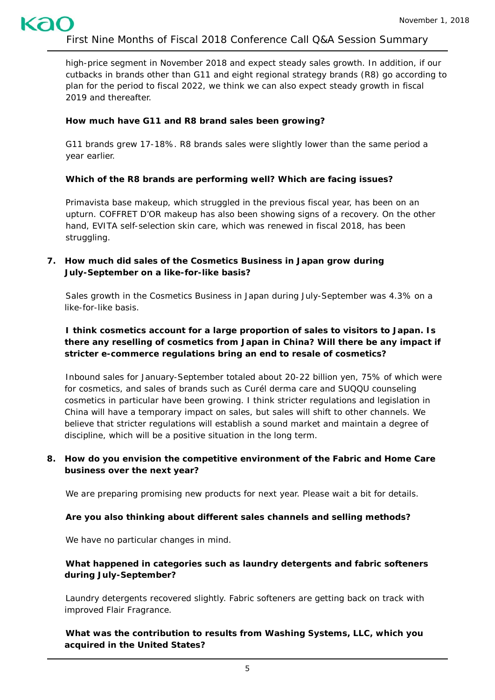high-price segment in November 2018 and expect steady sales growth. In addition, if our cutbacks in brands other than G11 and eight regional strategy brands (R8) go according to plan for the period to fiscal 2022, we think we can also expect steady growth in fiscal 2019 and thereafter.

## **How much have G11 and R8 brand sales been growing?**

G11 brands grew 17-18%. R8 brands sales were slightly lower than the same period a year earlier.

# **Which of the R8 brands are performing well? Which are facing issues?**

*Primavista* base makeup, which struggled in the previous fiscal year, has been on an upturn. *COFFRET D'OR* makeup has also been showing signs of a recovery. On the other hand, *EVITA* self-selection skin care, which was renewed in fiscal 2018, has been struggling.

# **7. How much did sales of the Cosmetics Business in Japan grow during July-September on a like-for-like basis?**

Sales growth in the Cosmetics Business in Japan during July-September was 4.3% on a like-for-like basis.

# **I think cosmetics account for a large proportion of sales to visitors to Japan. Is there any reselling of cosmetics from Japan in China? Will there be any impact if stricter e-commerce regulations bring an end to resale of cosmetics?**

Inbound sales for January-September totaled about 20-22 billion yen, 75% of which were for cosmetics, and sales of brands such as *Curél* derma care and *SUQQU* counseling cosmetics in particular have been growing. I think stricter regulations and legislation in China will have a temporary impact on sales, but sales will shift to other channels. We believe that stricter regulations will establish a sound market and maintain a degree of discipline, which will be a positive situation in the long term.

## **8. How do you envision the competitive environment of the Fabric and Home Care business over the next year?**

We are preparing promising new products for next year. Please wait a bit for details.

### **Are you also thinking about different sales channels and selling methods?**

We have no particular changes in mind.

## **What happened in categories such as laundry detergents and fabric softeners during July-September?**

Laundry detergents recovered slightly. Fabric softeners are getting back on track with improved *Flair Fragrance*.

**What was the contribution to results from Washing Systems, LLC, which you acquired in the United States?**